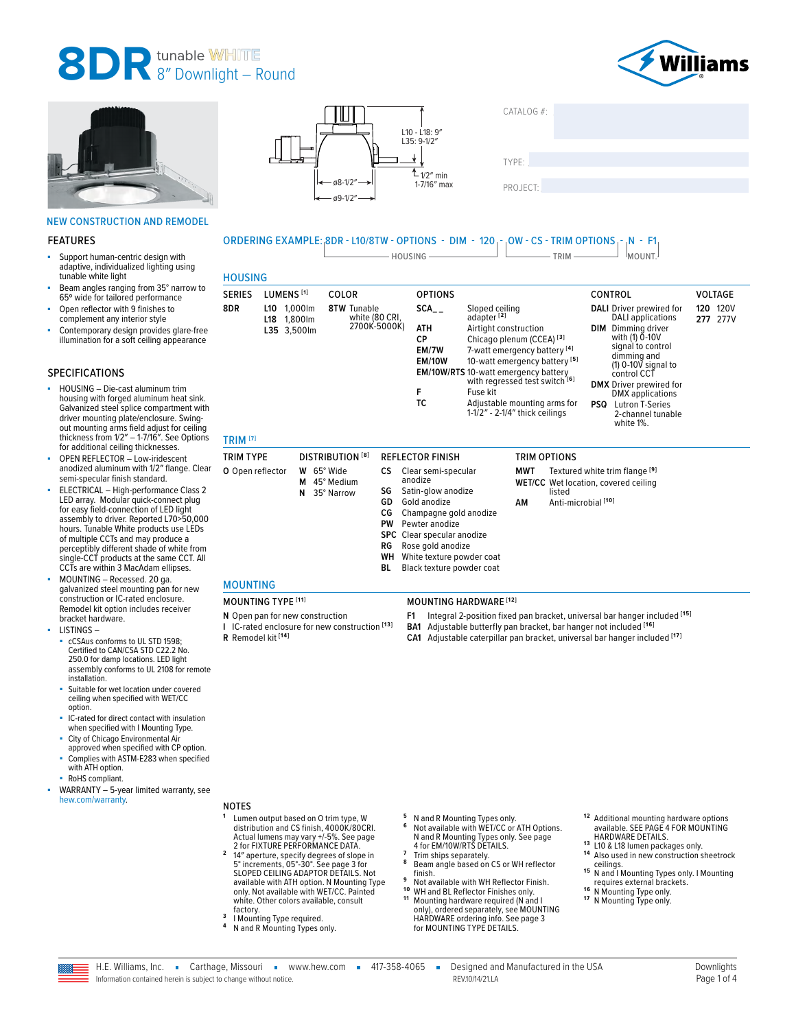# 8DR tunable WHITE **8** 8" Downlight – Round





#### NEW CONSTRUCTION AND REMODEL

#### FEATURES

- Support human-centric design with adaptive, individualized lighting using tunable white light
- Beam angles ranging from 35° narrow to 65º wide for tailored performance Open reflector with 9 finishes to
- complement any interior style
- Contemporary design provides glare-free illumination for a soft ceiling appearance

#### SPECIFICATIONS

- HOUSING Die-cast aluminum trim housing with forged aluminum heat sink. Galvanized steel splice compartment with driver mounting plate/enclosure. Swingout mounting arms field adjust for ceiling thickness from 1/2″ – 1-7/16″. See Options for additional ceiling thicknesses.
- OPEN REFLECTOR Low-iridescent anodized aluminum with 1/2″ flange. Clear semi-specular finish standard.
- ELECTRICAL High-performance Class 2 LED array. Modular quick-connect plug for easy field-connection of LED light assembly to driver. Reported L70>50,000 hours. Tunable White products use LEDs of multiple CCTs and may produce a perceptibly different shade of white from single-CCT products at the same CCT. All CCTs are within 3 MacAdam ellipses.
- MOUNTING Recessed. 20 ga. galvanized steel mounting pan for new construction or IC-rated enclosure. Remodel kit option includes receiver bracket hardware.
- LISTINGS
	- cCSAus conforms to UL STD 1598; Certified to CAN/CSA STD C22.2 No. 250.0 for damp locations. LED light assembly conforms to UL 2108 for remote installation.
	- Suitable for wet location under covered ceiling when specified with WET/CC option.
	- IC-rated for direct contact with insulation when specified with I Mounting Type.
	- City of Chicago Environmental Air approved when specified with CP option.
	- Complies with ASTM-E283 when specified with ATH option.
	- RoHS compliant.
- WARRANTY 5-year limited warranty, see [hew.com/warranty.](https://www.hew.com/resources/warranty-and-terms) NOTES





TYPE: ����������������������������������������������������

PROJECT:

### ORDERING EXAMPLE: 8DR - L10/8TW - OPTIONS - DIM - 120 - OW - CS - TRIM OPTIONS - N - F1  $\Box$  HOUSING  $\Box$  TRIM  $\Box$  MOUNT.

**F** Fuse kit

|                |                                                 |                                                      | HOUSING -                                              | $IRIM -$                                                                                                                                                                                                                                                                                      |     | 'MOUNI.'                                                                                                                                                                                                                                |     |                         |
|----------------|-------------------------------------------------|------------------------------------------------------|--------------------------------------------------------|-----------------------------------------------------------------------------------------------------------------------------------------------------------------------------------------------------------------------------------------------------------------------------------------------|-----|-----------------------------------------------------------------------------------------------------------------------------------------------------------------------------------------------------------------------------------------|-----|-------------------------|
| <b>HOUSING</b> |                                                 |                                                      |                                                        |                                                                                                                                                                                                                                                                                               |     |                                                                                                                                                                                                                                         |     |                         |
| SERIES         | LUMENS <sup>[1]</sup>                           | <b>COLOR</b>                                         | <b>OPTIONS</b>                                         |                                                                                                                                                                                                                                                                                               |     | CONTROL                                                                                                                                                                                                                                 |     | <b>VOLTAGE</b>          |
| 8DR.           | 1.000lm<br>L10<br>1.800lm<br>L18<br>L35 3,500lm | <b>8TW Tunable</b><br>white (80 CRI,<br>2700K-5000K) | SCA<br><b>ATH</b><br>СP<br>EM/7W<br><b>EM/10W</b><br>F | Sloped ceiling<br>adapter <sup>[2]</sup><br>Airtight construction<br>Chicago plenum (CCEA) <sup>[3]</sup><br>7-watt emergency battery [4]<br>10-watt emergency battery <sup>[5]</sup><br><b>EM/10W/RTS</b> 10-watt emergency battery<br>with regressed test switch <sup>[6]</sup><br>Fuse kit | DIM | <b>DALI</b> Driver prewired for<br>DALI applications<br>Dimming driver<br>with (1) 0-10V<br>signal to control<br>dimming and<br>$(1)$ 0-10 $\overline{V}$ signal to<br>control CCT<br><b>DMX</b> Driver prewired for<br>DMY annications | 120 | <b>120V</b><br>277 277V |

**Adjustable mounting arms for** 1-1/2″ - 2-1/4″ thick ceilings DMX applications **PSQ** Lutron T-Series 2-channel tunable white 1%.

| TRIM TYPE<br>O Open reflector | <b>DISTRIBUTION [8]</b><br>65° Wide<br>W<br>45° Medium<br>М<br>35° Narrow<br>N | CS.<br>SG<br>GD | <b>REFLECTOR FINISH</b><br>Clear semi-specular<br>anodize<br>Satin-glow anodize<br>Gold anodize<br>CG Champagne gold anodize | MWT<br>АM | TRIM OPTIONS<br>Textured white trim flange [9]<br><b>WET/CC</b> Wet location, covered ceiling<br>listed<br>Anti-microbial [10] |  |
|-------------------------------|--------------------------------------------------------------------------------|-----------------|------------------------------------------------------------------------------------------------------------------------------|-----------|--------------------------------------------------------------------------------------------------------------------------------|--|
|                               |                                                                                | RG              | <b>PW</b> Pewter anodize<br><b>SPC</b> Clear specular anodize<br>Rose gold anodize                                           |           |                                                                                                                                |  |
|                               |                                                                                | BL              | <b>WH</b> White texture powder coat<br>Black texture powder coat                                                             |           |                                                                                                                                |  |

# MOUNTING

TRIM **[7]**

- **N** Open pan for new construction **I** IC-rated enclosure for new construction **[13]**
- **R** Remodel kit **[14]**
- MOUNTING TYPE **[11]** MOUNTING HARDWARE **[12]**

**F1** Integral 2-position fixed pan bracket, universal bar hanger included **[15]**

- **BA1** Adjustable butterfly pan bracket, bar hanger not included **[16]**
- **CA1** Adjustable caterpillar pan bracket, universal bar hanger included **[17]**

- 
- **5** N and R Mounting Types only.<br>**6** Not available with WET/CC or ATH Options.<br>N and R Mounting Types only. See page
- <sup>7</sup> Trim ships separately.<br>**8** Beam angle based on CS or WH reflector<br>finish
- 
- finish.<br>9 Not available with WH Reflector Finish.<br><sup>90</sup> WH and BL Reflector Finishes only.<br><sup>11</sup> Mounting hardware required (N and I<br>hlap), ordered separately, see MOUNTING<br>HARDWARE ordering info. See page 3<br>for MOUNTING TYP
- <sup>12</sup> Additional mounting hardware options Additional moditure numeric of theme<br>available. SEE PAGE 4 FOR MOUNTING<br>HARDWARE DETAILS.
- 
- 13 L10 & L18 lumen packages only.<br><sup>14</sup> Also used in new construction sheetrock
- **15** N and I Mounting Types only. I Mounting<br>**15** N and I Mounting Types only. I Mounting<br>requires external brackets.
- requires external brackets. **1 6** N Mounting Type only. **1 7** N Mounting Type only.
- 
- white. Other colors available, consult<br>factory.
- <sup>3</sup> I Mounting Type required.<br><sup>4</sup> N and R Mounting Types only.

**<sup>1</sup>** Lumen output based on O trim type, W

distribution and CS finish, 4000K/80CRI.<br>Actual lumens may vary +/-5%. See page<br>2 for FIXTURE PERFORMANCE DATA.<br>2 14" aperture, specify degrees of slope in<br>5° increments, 05°-30°. [See page](#page-1-0) 3 for<br>SLOPED CEILING ADAPTOR DETA

available with ATH option. N Mounting Type only. Not available with WET/CC. Painted



REV.10/14/21.LA Page 1 of 4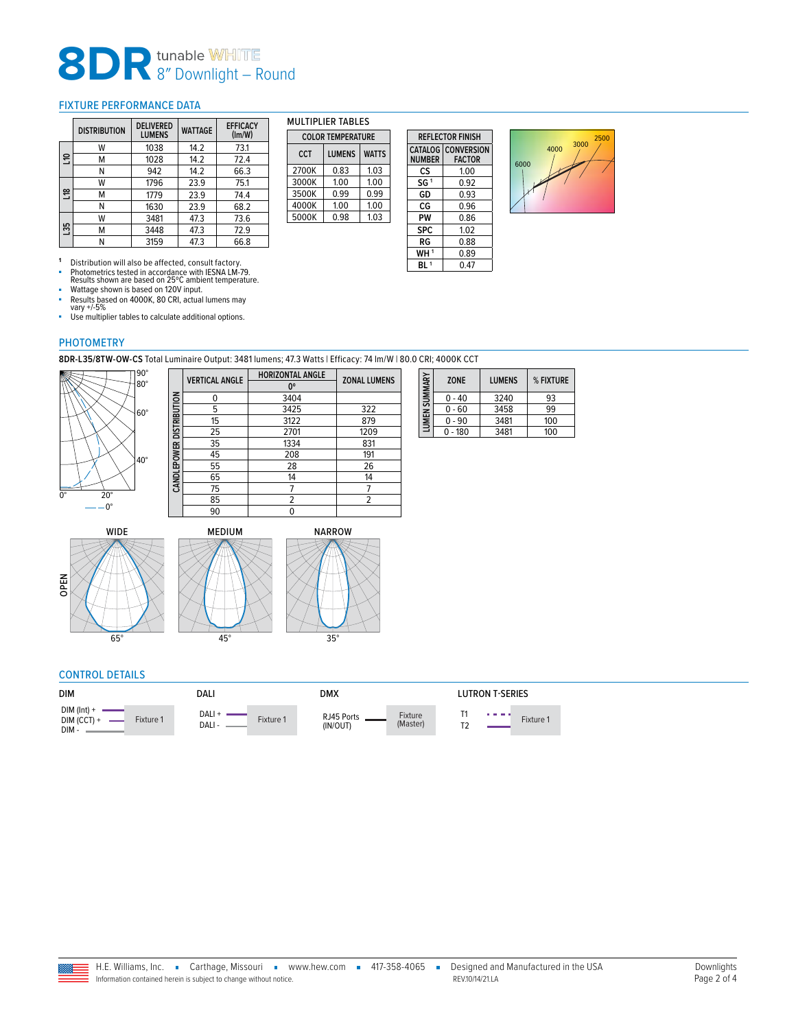# 8DR tunable WHITE 8" Downlight – Round

## <span id="page-1-0"></span>FIXTURE PERFORMANCE DATA

|             | <b>DISTRIBUTION</b> | <b>DFI IVERED</b><br><b>LUMENS</b> | <b>WATTAGE</b> | <b>EFFICACY</b><br>(lm/W) |
|-------------|---------------------|------------------------------------|----------------|---------------------------|
|             | w                   | 1038                               | 14.2           | 73.1                      |
| 믕           | м                   | 1028                               | 14.2           | 72.4                      |
|             | Ν                   | 942                                | 14.2           | 66.3                      |
|             | w                   | 1796                               | 23.9           | 75.1                      |
| $\tilde{=}$ | м                   | 1779                               | 23.9           | 74.4                      |
|             | N                   | 1630                               | 23.9           | 68.2                      |
|             | w                   | 3481                               | 47.3           | 73.6                      |
| ကို         | м                   | 3448                               | 47.3           | 72.9                      |
|             |                     | 3159                               | 47.3           | 66.8                      |

MULTIPLIER TABLES **COLOR TEMPERATURE CCT LUMENS WATTS** 2700K 0.83 1.03<br>3000K 1.00 1.00 3000K 1.00 1.00<br>3500K 0.99 0.99 3500K 0.99 0.99<br>4000K 1.00 1.00 4000K 1.00 1.00<br>5000K 0.98 1.03 5000K 0.98

| <b>REFLECTOR FINISH</b> |                                            |  |  |  |  |
|-------------------------|--------------------------------------------|--|--|--|--|
| <b>NUMBER</b>           | <b>CATALOG</b> CONVERSION<br><b>FACTOR</b> |  |  |  |  |
| cs                      | 1.00                                       |  |  |  |  |
| SG <sup>1</sup>         | 0.92                                       |  |  |  |  |
| GD                      | 0.93                                       |  |  |  |  |
| CG                      | 0.96                                       |  |  |  |  |
| PW                      | 0.86                                       |  |  |  |  |
| <b>SPC</b>              | 1.02                                       |  |  |  |  |
| RG                      | 0.88                                       |  |  |  |  |
| WH <sup>1</sup>         | 0.89                                       |  |  |  |  |
| BI 1                    | 0.47                                       |  |  |  |  |



1 Distribution will also be affected, consult factory.<br>
• Photometrics tested in accordance with IESNA LM-79.<br>
Results shown are based on 25°C ambient temperature.<br>
• Wattage shown is based on 120V input.<br>
• Results based

■ Use multiplier tables to calculate additional options.

**CANDLEPOWER DISTRIBUTION**

CANDLEPOWER DISTRIBUTION

### PHOTOMETRY

**8DR-L35/8TW-OW-CS** Total Luminaire Output: 3481 lumens; 47.3 Watts | Efficacy: 74 lm/W | 80.0 CRI; 4000K CCT



| <b>HORIZONTAL ANGLE</b> | <b>ZONAL LUMENS</b> |  |  |
|-------------------------|---------------------|--|--|
| 0°                      |                     |  |  |
| 3404                    |                     |  |  |
| 3425                    | 322                 |  |  |
| 3122                    | 879                 |  |  |
| 2701                    | 1209                |  |  |
| 1334                    | 831                 |  |  |
| 208                     | 191                 |  |  |
| 28                      | 26                  |  |  |
| 14                      | 14                  |  |  |
|                         |                     |  |  |
| 2                       | $\overline{2}$      |  |  |
| 0                       |                     |  |  |
|                         |                     |  |  |

|               | <b>ZONE</b> | <b>LUMENS</b> | % FIXTURE |  |
|---------------|-------------|---------------|-----------|--|
|               | 0 - 40      | 3240          | 93        |  |
| LUMEN SUMMARY | 0 - 60      | 3458          | 99        |  |
|               | $0 - 90$    | 3481          | 100       |  |
|               | - 180       | 3481          | 100       |  |

OPEN



## CONTROL DETAILS

| <b>DIM</b>                                          | DALI                         | DMX                                           | LUTRON T-SERIES |
|-----------------------------------------------------|------------------------------|-----------------------------------------------|-----------------|
| $DIM$ (Int) +<br>Fixture 1<br>$DIM (CCT) +$<br>DIM- | DALI +<br>Fixture 1<br>DALI- | Fixture<br>RJ45 Ports<br>(Master)<br>(IN/OUT) | .<br>Fixture 1  |

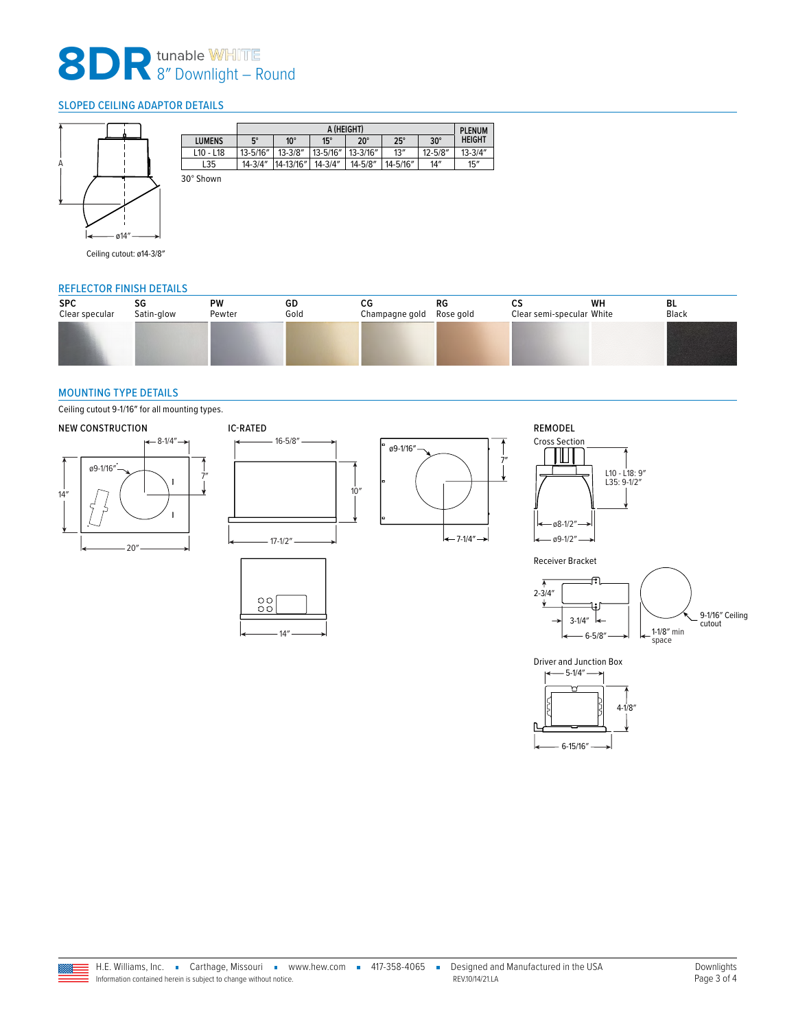# 8DR tunable WHITE 8" Downlight – Round

## <span id="page-2-0"></span>SLOPED CEILING ADAPTOR DETAILS



|           |                 |             | <b>PLENUM</b> |             |              |            |             |               |
|-----------|-----------------|-------------|---------------|-------------|--------------|------------|-------------|---------------|
|           | <b>LUMENS</b>   | $5^\circ$   | $10^{\circ}$  | $15^\circ$  | $20^{\circ}$ | $25^\circ$ | $30^\circ$  | <b>HEIGHT</b> |
|           | $L$ 10 - $L$ 18 | 13-5/16"    | $13 - 3/8''$  | 13-5/16"    | 13-3/16"     | 13''       | $12 - 5/8"$ | $13 - 3/4"$   |
|           | L35             | $14 - 3/4"$ | 14-13/16"     | $14 - 3/4"$ | 14-5/8″      | 14-5/16"   | 14''        | 15''          |
| 30° Shown |                 |             |               |             |              |            |             |               |

Ceiling cutout: ø14-3/8″

#### REFLECTOR FINISH DETAILS

| <b>SPC</b><br>Clear specular | SG<br>Satin-glow | <b>PW</b><br>Pewter | GD<br>Gold | СG<br>Champagne gold | RG<br>Rose gold | Clear semi-specular White | WH | BL<br>Black |
|------------------------------|------------------|---------------------|------------|----------------------|-----------------|---------------------------|----|-------------|
|                              |                  |                     |            |                      |                 |                           |    |             |
|                              |                  |                     |            |                      |                 |                           |    |             |

### <span id="page-2-1"></span>MOUNTING TYPE DETAILS

Ceiling cutout 9-1/16″ for all mounting types.







14″

 ${}^{00}_{00}$ 





Receiver Bracket



4-1/8″

Driver and Junction Box  $-5-1/4"$ 

6-15/16″